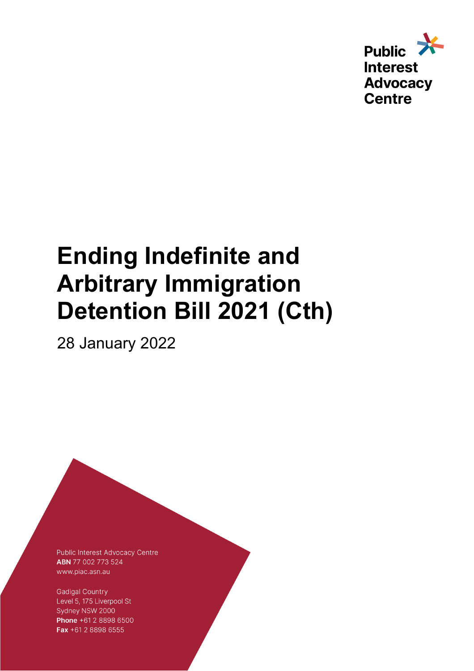

# **Ending Indefinite and Arbitrary Immigration Detention Bill 2021 (Cth)**

28 January 2022

Public Interest Advocacy Centre ABN 77 002 773 524 www.piac.asn.au

**Gadigal Country** Level 5, 175 Liverpool St Sydney NSW 2000 Phone +61 2 8898 6500 Fax +61 2 8898 6555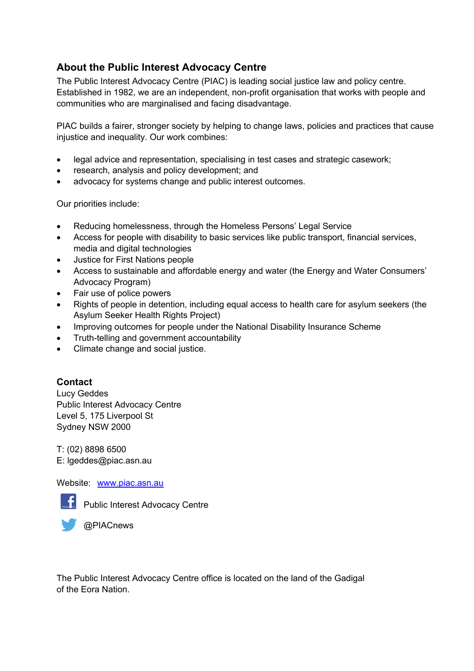### **About the Public Interest Advocacy Centre**

The Public Interest Advocacy Centre (PIAC) is leading social justice law and policy centre. Established in 1982, we are an independent, non-profit organisation that works with people and communities who are marginalised and facing disadvantage.

PIAC builds a fairer, stronger society by helping to change laws, policies and practices that cause injustice and inequality. Our work combines:

- legal advice and representation, specialising in test cases and strategic casework;
- research, analysis and policy development; and
- advocacy for systems change and public interest outcomes.

Our priorities include:

- Reducing homelessness, through the Homeless Persons' Legal Service
- Access for people with disability to basic services like public transport, financial services, media and digital technologies
- Justice for First Nations people
- Access to sustainable and affordable energy and water (the Energy and Water Consumers' Advocacy Program)
- Fair use of police powers
- Rights of people in detention, including equal access to health care for asylum seekers (the Asylum Seeker Health Rights Project)
- Improving outcomes for people under the National Disability Insurance Scheme
- Truth-telling and government accountability
- Climate change and social justice.

#### **Contact**

Lucy Geddes Public Interest Advocacy Centre Level 5, 175 Liverpool St Sydney NSW 2000

T: (02) 8898 6500 E: lgeddes@piac.asn.au

Website: www.piac.asn.au



**Public Interest Advocacy Centre** 



The Public Interest Advocacy Centre office is located on the land of the Gadigal of the Eora Nation.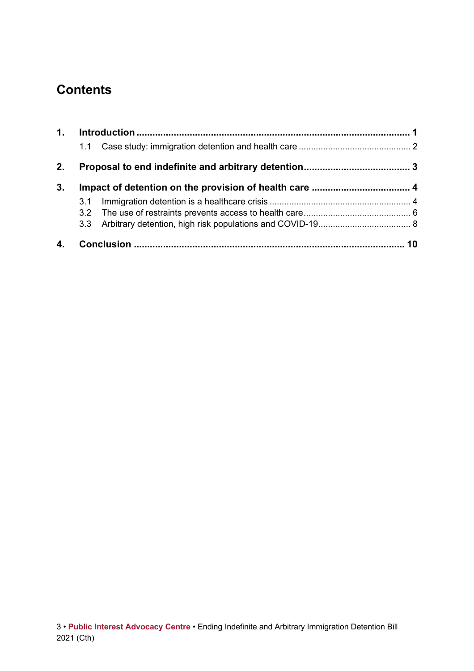# **Contents**

| 2. |                  |  |  |  |
|----|------------------|--|--|--|
| 3. |                  |  |  |  |
|    | 3.1              |  |  |  |
|    |                  |  |  |  |
|    | 3.3 <sup>°</sup> |  |  |  |
|    |                  |  |  |  |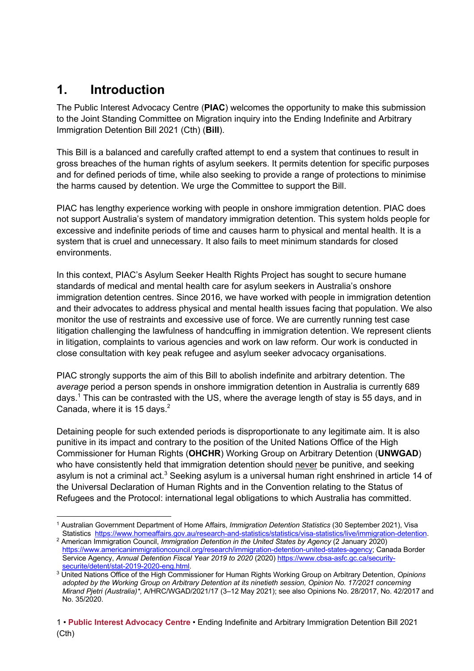# **1. Introduction**

The Public Interest Advocacy Centre (**PIAC**) welcomes the opportunity to make this submission to the Joint Standing Committee on Migration inquiry into the Ending Indefinite and Arbitrary Immigration Detention Bill 2021 (Cth) (**Bill**).

This Bill is a balanced and carefully crafted attempt to end a system that continues to result in gross breaches of the human rights of asylum seekers. It permits detention for specific purposes and for defined periods of time, while also seeking to provide a range of protections to minimise the harms caused by detention. We urge the Committee to support the Bill.

PIAC has lengthy experience working with people in onshore immigration detention. PIAC does not support Australia's system of mandatory immigration detention. This system holds people for excessive and indefinite periods of time and causes harm to physical and mental health. It is a system that is cruel and unnecessary. It also fails to meet minimum standards for closed environments.

In this context, PIAC's Asylum Seeker Health Rights Project has sought to secure humane standards of medical and mental health care for asylum seekers in Australia's onshore immigration detention centres. Since 2016, we have worked with people in immigration detention and their advocates to address physical and mental health issues facing that population. We also monitor the use of restraints and excessive use of force. We are currently running test case litigation challenging the lawfulness of handcuffing in immigration detention. We represent clients in litigation, complaints to various agencies and work on law reform. Our work is conducted in close consultation with key peak refugee and asylum seeker advocacy organisations.

PIAC strongly supports the aim of this Bill to abolish indefinite and arbitrary detention. The *average* period a person spends in onshore immigration detention in Australia is currently 689 days.<sup>1</sup> This can be contrasted with the US, where the average length of stay is 55 days, and in Canada, where it is 15 days. $2^2$ 

Detaining people for such extended periods is disproportionate to any legitimate aim. It is also punitive in its impact and contrary to the position of the United Nations Office of the High Commissioner for Human Rights (**OHCHR**) Working Group on Arbitrary Detention (**UNWGAD**) who have consistently held that immigration detention should never be punitive, and seeking asylum is not a criminal act. $3$  Seeking asylum is a universal human right enshrined in article 14 of the Universal Declaration of Human Rights and in the Convention relating to the Status of Refugees and the Protocol: international legal obligations to which Australia has committed.

<sup>1</sup> Australian Government Department of Home Affairs, *Immigration Detention Statistics* (30 September 2021), Visa

<sup>&</sup>lt;sup>2</sup> American Immigration Council, Immigration Detention in the United States by Agency (2 January 2020) https://www.americanimmigrationcouncil.org/research/immigration-detention-united-states-agency; Canada Border Service Agency, *Annual Detention Fiscal Year 2019 to 2020* (2020) https://www.cbsa-asfc.gc.ca/security-security-security-

<sup>&</sup>lt;sup>3</sup> United Nations Office of the High Commissioner for Human Rights Working Group on Arbitrary Detention, *Opinions adopted by the Working Group on Arbitrary Detention at its ninetieth session, Opinion No. 17/2021 concerning Mirand Pjetri (Australia)\*,* A/HRC/WGAD/2021/17 (3–12 May 2021); see also Opinions No. 28/2017, No. 42/2017 and No. 35/2020.

<sup>1</sup> • **Public Interest Advocacy Centre** • Ending Indefinite and Arbitrary Immigration Detention Bill 2021 (Cth)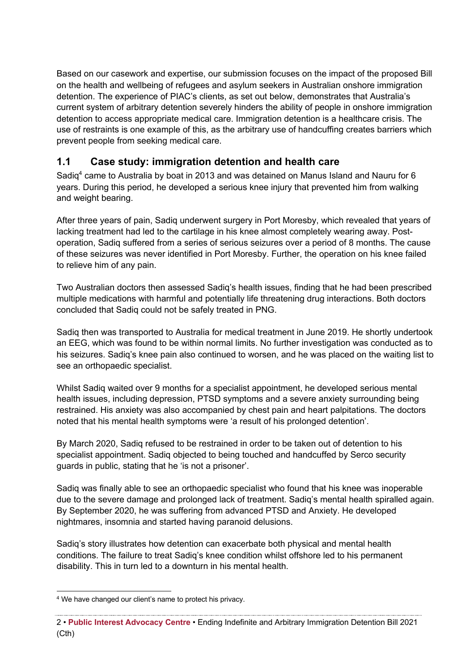Based on our casework and expertise, our submission focuses on the impact of the proposed Bill on the health and wellbeing of refugees and asylum seekers in Australian onshore immigration detention. The experience of PIAC's clients, as set out below, demonstrates that Australia's current system of arbitrary detention severely hinders the ability of people in onshore immigration detention to access appropriate medical care. Immigration detention is a healthcare crisis. The use of restraints is one example of this, as the arbitrary use of handcuffing creates barriers which prevent people from seeking medical care.

### **1.1 Case study: immigration detention and health care**

Sadig<sup>4</sup> came to Australia by boat in 2013 and was detained on Manus Island and Nauru for 6 years. During this period, he developed a serious knee injury that prevented him from walking and weight bearing.

After three years of pain, Sadiq underwent surgery in Port Moresby, which revealed that years of lacking treatment had led to the cartilage in his knee almost completely wearing away. Postoperation, Sadiq suffered from a series of serious seizures over a period of 8 months. The cause of these seizures was never identified in Port Moresby. Further, the operation on his knee failed to relieve him of any pain.

Two Australian doctors then assessed Sadiq's health issues, finding that he had been prescribed multiple medications with harmful and potentially life threatening drug interactions. Both doctors concluded that Sadiq could not be safely treated in PNG.

Sadiq then was transported to Australia for medical treatment in June 2019. He shortly undertook an EEG, which was found to be within normal limits. No further investigation was conducted as to his seizures. Sadiq's knee pain also continued to worsen, and he was placed on the waiting list to see an orthopaedic specialist.

Whilst Sadiq waited over 9 months for a specialist appointment, he developed serious mental health issues, including depression, PTSD symptoms and a severe anxiety surrounding being restrained. His anxiety was also accompanied by chest pain and heart palpitations. The doctors noted that his mental health symptoms were 'a result of his prolonged detention'.

By March 2020, Sadiq refused to be restrained in order to be taken out of detention to his specialist appointment. Sadiq objected to being touched and handcuffed by Serco security guards in public, stating that he 'is not a prisoner'.

Sadiq was finally able to see an orthopaedic specialist who found that his knee was inoperable due to the severe damage and prolonged lack of treatment. Sadiq's mental health spiralled again. By September 2020, he was suffering from advanced PTSD and Anxiety. He developed nightmares, insomnia and started having paranoid delusions.

Sadiq's story illustrates how detention can exacerbate both physical and mental health conditions. The failure to treat Sadiq's knee condition whilst offshore led to his permanent disability. This in turn led to a downturn in his mental health.

<sup>4</sup> We have changed our client's name to protect his privacy.

<sup>2</sup> • **Public Interest Advocacy Centre** • Ending Indefinite and Arbitrary Immigration Detention Bill 2021 (Cth)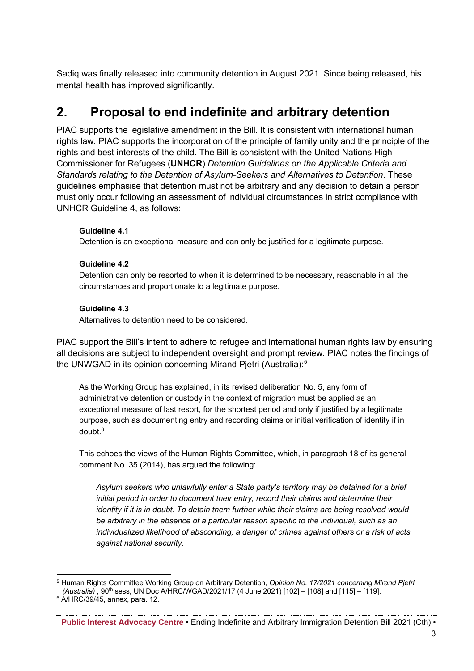Sadiq was finally released into community detention in August 2021. Since being released, his mental health has improved significantly.

# **2. Proposal to end indefinite and arbitrary detention**

PIAC supports the legislative amendment in the Bill. It is consistent with international human rights law. PIAC supports the incorporation of the principle of family unity and the principle of the rights and best interests of the child. The Bill is consistent with the United Nations High Commissioner for Refugees (**UNHCR**) *Detention Guidelines on the Applicable Criteria and Standards relating to the Detention of Asylum-Seekers and Alternatives to Detention*. These guidelines emphasise that detention must not be arbitrary and any decision to detain a person must only occur following an assessment of individual circumstances in strict compliance with UNHCR Guideline 4, as follows:

#### **Guideline 4.1**

Detention is an exceptional measure and can only be justified for a legitimate purpose.

#### **Guideline 4.2**

Detention can only be resorted to when it is determined to be necessary, reasonable in all the circumstances and proportionate to a legitimate purpose.

#### **Guideline 4.3**

Alternatives to detention need to be considered.

PIAC support the Bill's intent to adhere to refugee and international human rights law by ensuring all decisions are subject to independent oversight and prompt review. PIAC notes the findings of the UNWGAD in its opinion concerning Mirand Pietri (Australia):<sup>5</sup>

As the Working Group has explained, in its revised deliberation No. 5, any form of administrative detention or custody in the context of migration must be applied as an exceptional measure of last resort, for the shortest period and only if justified by a legitimate purpose, such as documenting entry and recording claims or initial verification of identity if in doubt.6

This echoes the views of the Human Rights Committee, which, in paragraph 18 of its general comment No. 35 (2014), has argued the following:

*Asylum seekers who unlawfully enter a State party's territory may be detained for a brief initial period in order to document their entry, record their claims and determine their identity if it is in doubt. To detain them further while their claims are being resolved would be arbitrary in the absence of a particular reason specific to the individual, such as an individualized likelihood of absconding, a danger of crimes against others or a risk of acts against national security.* 

<sup>5</sup> Human Rights Committee Working Group on Arbitrary Detention, *Opinion No. 17/2021 concerning Mirand Pjetri (Australia) ,* 90th sess, UN Doc A/HRC/WGAD/2021/17 (4 June 2021) [102] – [108] and [115] – [119].  $6$  A/HRC/39/45, annex, para. 12.

**Public Interest Advocacy Centre** • Ending Indefinite and Arbitrary Immigration Detention Bill 2021 (Cth) •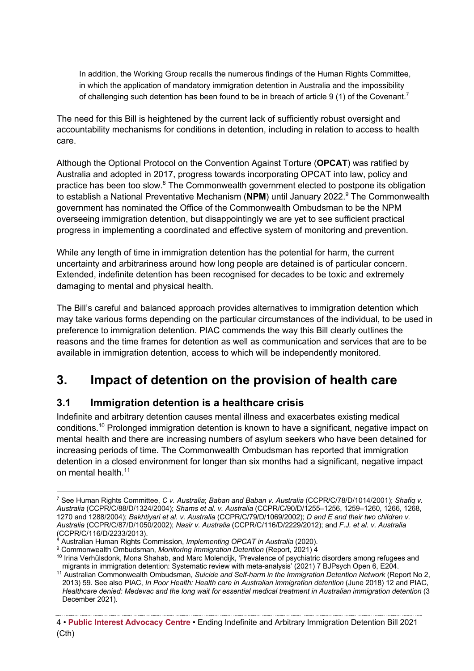In addition, the Working Group recalls the numerous findings of the Human Rights Committee, in which the application of mandatory immigration detention in Australia and the impossibility of challenging such detention has been found to be in breach of article 9 (1) of the Covenant.<sup>7</sup>

The need for this Bill is heightened by the current lack of sufficiently robust oversight and accountability mechanisms for conditions in detention, including in relation to access to health care.

Although the Optional Protocol on the Convention Against Torture (**OPCAT**) was ratified by Australia and adopted in 2017, progress towards incorporating OPCAT into law, policy and practice has been too slow.<sup>8</sup> The Commonwealth government elected to postpone its obligation to establish a National Preventative Mechanism (NPM) until January 2022.<sup>9</sup> The Commonwealth government has nominated the Office of the Commonwealth Ombudsman to be the NPM overseeing immigration detention, but disappointingly we are yet to see sufficient practical progress in implementing a coordinated and effective system of monitoring and prevention.

While any length of time in immigration detention has the potential for harm, the current uncertainty and arbitrariness around how long people are detained is of particular concern. Extended, indefinite detention has been recognised for decades to be toxic and extremely damaging to mental and physical health.

The Bill's careful and balanced approach provides alternatives to immigration detention which may take various forms depending on the particular circumstances of the individual, to be used in preference to immigration detention. PIAC commends the way this Bill clearly outlines the reasons and the time frames for detention as well as communication and services that are to be available in immigration detention, access to which will be independently monitored.

# **3. Impact of detention on the provision of health care**

### **3.1 Immigration detention is a healthcare crisis**

Indefinite and arbitrary detention causes mental illness and exacerbates existing medical conditions.10 Prolonged immigration detention is known to have a significant, negative impact on mental health and there are increasing numbers of asylum seekers who have been detained for increasing periods of time. The Commonwealth Ombudsman has reported that immigration detention in a closed environment for longer than six months had a significant, negative impact on mental health  $11$ 

<sup>7</sup> See Human Rights Committee, *C v. Australia*; *Baban and Baban v. Australia* (CCPR/C/78/D/1014/2001); *Shafiq v. Australia* (CCPR/C/88/D/1324/2004); *Shams et al. v. Australia* (CCPR/C/90/D/1255–1256, 1259–1260, 1266, 1268, 1270 and 1288/2004); *Bakhtiyari et al. v. Australia* (CCPR/C/79/D/1069/2002); *D and E and their two children v. Australia* (CCPR/C/87/D/1050/2002); *Nasir v. Australia* (CCPR/C/116/D/2229/2012); and *F.J. et al. v. Australia*  (CCPR/C/116/D/2233/2013).<br><sup>8</sup> Australian Human Rights Commission, *Implementing OPCAT in Australia* (2020).

<sup>&</sup>lt;sup>9</sup> Commonwealth Ombudsman, *Monitoring Immigration Detention* (Report, 2021) 4

<sup>&</sup>lt;sup>10</sup> Irina Verhülsdonk, Mona Shahab, and Marc Molendijk, 'Prevalence of psychiatric disorders among refugees and migrants in immigration detention: Systematic review with meta-analysis' (2021) 7 BJPsych Open 6, E204.

<sup>11</sup> Australian Commonwealth Ombudsman, *Suicide and Self-harm in the Immigration Detention Network* (Report No 2, 2013) 59. See also PIAC, *In Poor Health: Health care in Australian immigration detention* (June 2018) 12 and PIAC, *Healthcare denied: Medevac and the long wait for essential medical treatment in Australian immigration detention* (3 December 2021).

<sup>4</sup> • **Public Interest Advocacy Centre** • Ending Indefinite and Arbitrary Immigration Detention Bill 2021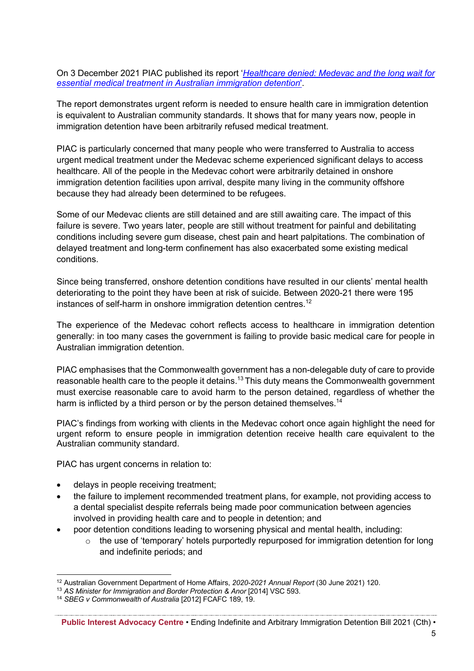On 3 December 2021 PIAC published its report '*Healthcare denied: Medevac and the long wait for essential medical treatment in Australian immigration detention*'.

The report demonstrates urgent reform is needed to ensure health care in immigration detention is equivalent to Australian community standards. It shows that for many years now, people in immigration detention have been arbitrarily refused medical treatment.

PIAC is particularly concerned that many people who were transferred to Australia to access urgent medical treatment under the Medevac scheme experienced significant delays to access healthcare. All of the people in the Medevac cohort were arbitrarily detained in onshore immigration detention facilities upon arrival, despite many living in the community offshore because they had already been determined to be refugees.

Some of our Medevac clients are still detained and are still awaiting care. The impact of this failure is severe. Two years later, people are still without treatment for painful and debilitating conditions including severe gum disease, chest pain and heart palpitations. The combination of delayed treatment and long-term confinement has also exacerbated some existing medical conditions.

Since being transferred, onshore detention conditions have resulted in our clients' mental health deteriorating to the point they have been at risk of suicide. Between 2020-21 there were 195 instances of self-harm in onshore immigration detention centres.<sup>12</sup>

The experience of the Medevac cohort reflects access to healthcare in immigration detention generally: in too many cases the government is failing to provide basic medical care for people in Australian immigration detention.

PIAC emphasises that the Commonwealth government has a non-delegable duty of care to provide reasonable health care to the people it detains.<sup>13</sup> This duty means the Commonwealth government must exercise reasonable care to avoid harm to the person detained, regardless of whether the harm is inflicted by a third person or by the person detained themselves.<sup>14</sup>

PIAC's findings from working with clients in the Medevac cohort once again highlight the need for urgent reform to ensure people in immigration detention receive health care equivalent to the Australian community standard.

PIAC has urgent concerns in relation to:

- delays in people receiving treatment;
- the failure to implement recommended treatment plans, for example, not providing access to a dental specialist despite referrals being made poor communication between agencies involved in providing health care and to people in detention; and
- poor detention conditions leading to worsening physical and mental health, including:
	- o the use of 'temporary' hotels purportedly repurposed for immigration detention for long and indefinite periods; and

<sup>12</sup> Australian Government Department of Home Affairs, *2020-2021 Annual Report* (30 June 2021) 120.

<sup>&</sup>lt;sup>13</sup> AS Minister for Immigration and Border Protection & Anor [2014] VSC 593.

<sup>14</sup> *SBEG v Commonwealth of Australia* [2012] FCAFC 189, 19.

**Public Interest Advocacy Centre** • Ending Indefinite and Arbitrary Immigration Detention Bill 2021 (Cth) •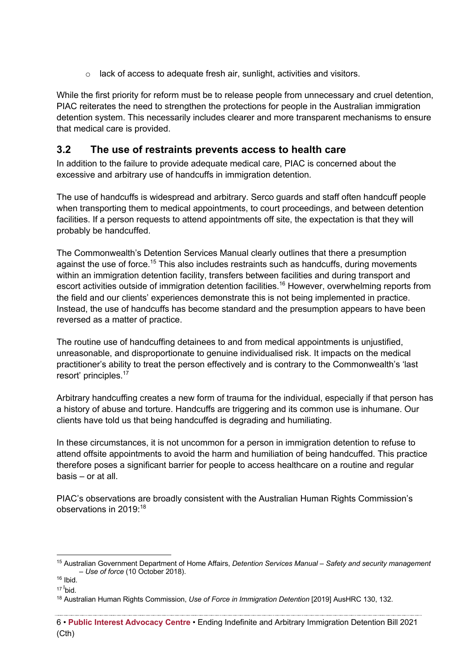o lack of access to adequate fresh air, sunlight, activities and visitors.

While the first priority for reform must be to release people from unnecessary and cruel detention, PIAC reiterates the need to strengthen the protections for people in the Australian immigration detention system. This necessarily includes clearer and more transparent mechanisms to ensure that medical care is provided.

### **3.2 The use of restraints prevents access to health care**

In addition to the failure to provide adequate medical care, PIAC is concerned about the excessive and arbitrary use of handcuffs in immigration detention.

The use of handcuffs is widespread and arbitrary. Serco guards and staff often handcuff people when transporting them to medical appointments, to court proceedings, and between detention facilities. If a person requests to attend appointments off site, the expectation is that they will probably be handcuffed.

The Commonwealth's Detention Services Manual clearly outlines that there a presumption against the use of force.<sup>15</sup> This also includes restraints such as handcuffs, during movements within an immigration detention facility, transfers between facilities and during transport and escort activities outside of immigration detention facilities.<sup>16</sup> However, overwhelming reports from the field and our clients' experiences demonstrate this is not being implemented in practice. Instead, the use of handcuffs has become standard and the presumption appears to have been reversed as a matter of practice.

The routine use of handcuffing detainees to and from medical appointments is unjustified, unreasonable, and disproportionate to genuine individualised risk. It impacts on the medical practitioner's ability to treat the person effectively and is contrary to the Commonwealth's 'last resort' principles.<sup>17</sup>

Arbitrary handcuffing creates a new form of trauma for the individual, especially if that person has a history of abuse and torture. Handcuffs are triggering and its common use is inhumane. Our clients have told us that being handcuffed is degrading and humiliating.

In these circumstances, it is not uncommon for a person in immigration detention to refuse to attend offsite appointments to avoid the harm and humiliation of being handcuffed. This practice therefore poses a significant barrier for people to access healthcare on a routine and regular basis – or at all.

PIAC's observations are broadly consistent with the Australian Human Rights Commission's observations in 2019:<sup>18</sup>

<sup>15</sup> Australian Government Department of Home Affairs, *Detention Services Manual – Safety and security management – Use of force* (10 October 2018).

<sup>16</sup> Ibid.

<sup>17 &</sup>lt;sup>I</sup>bid.

<sup>18</sup> Australian Human Rights Commission, *Use of Force in Immigration Detention* [2019] AusHRC 130, 132.

<sup>6</sup> • **Public Interest Advocacy Centre** • Ending Indefinite and Arbitrary Immigration Detention Bill 2021 (Cth)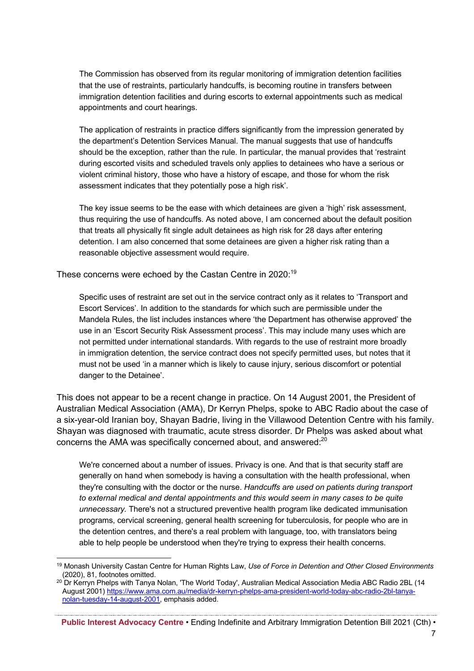The Commission has observed from its regular monitoring of immigration detention facilities that the use of restraints, particularly handcuffs, is becoming routine in transfers between immigration detention facilities and during escorts to external appointments such as medical appointments and court hearings.

The application of restraints in practice differs significantly from the impression generated by the department's Detention Services Manual. The manual suggests that use of handcuffs should be the exception, rather than the rule. In particular, the manual provides that 'restraint during escorted visits and scheduled travels only applies to detainees who have a serious or violent criminal history, those who have a history of escape, and those for whom the risk assessment indicates that they potentially pose a high risk'.

The key issue seems to be the ease with which detainees are given a 'high' risk assessment, thus requiring the use of handcuffs. As noted above, I am concerned about the default position that treats all physically fit single adult detainees as high risk for 28 days after entering detention. I am also concerned that some detainees are given a higher risk rating than a reasonable objective assessment would require.

These concerns were echoed by the Castan Centre in 2020:<sup>19</sup>

Specific uses of restraint are set out in the service contract only as it relates to 'Transport and Escort Services'. In addition to the standards for which such are permissible under the Mandela Rules, the list includes instances where 'the Department has otherwise approved' the use in an 'Escort Security Risk Assessment process'. This may include many uses which are not permitted under international standards. With regards to the use of restraint more broadly in immigration detention, the service contract does not specify permitted uses, but notes that it must not be used 'in a manner which is likely to cause injury, serious discomfort or potential danger to the Detainee'.

This does not appear to be a recent change in practice. On 14 August 2001, the President of Australian Medical Association (AMA), Dr Kerryn Phelps, spoke to ABC Radio about the case of a six-year-old Iranian boy, Shayan Badrie, living in the Villawood Detention Centre with his family. Shayan was diagnosed with traumatic, acute stress disorder. Dr Phelps was asked about what concerns the AMA was specifically concerned about, and answered:<sup>20</sup>

We're concerned about a number of issues. Privacy is one. And that is that security staff are generally on hand when somebody is having a consultation with the health professional, when they're consulting with the doctor or the nurse. *Handcuffs are used on patients during transport to external medical and dental appointments and this would seem in many cases to be quite unnecessary.* There's not a structured preventive health program like dedicated immunisation programs, cervical screening, general health screening for tuberculosis, for people who are in the detention centres, and there's a real problem with language, too, with translators being able to help people be understood when they're trying to express their health concerns.

<sup>19</sup> Monash University Castan Centre for Human Rights Law, *Use of Force in Detention and Other Closed Environments*  (2020), 81, footnotes omitted.

<sup>&</sup>lt;sup>20</sup> Dr Kerryn Phelps with Tanya Nolan, 'The World Today', Australian Medical Association Media ABC Radio 2BL (14 August 2001) https://www.ama.com.au/media/dr-kerryn-phelps-ama-president-world-today-abc-radio-2bl-tanyanolan-tuesday-14-august-2001, emphasis added.

**Public Interest Advocacy Centre** • Ending Indefinite and Arbitrary Immigration Detention Bill 2021 (Cth) •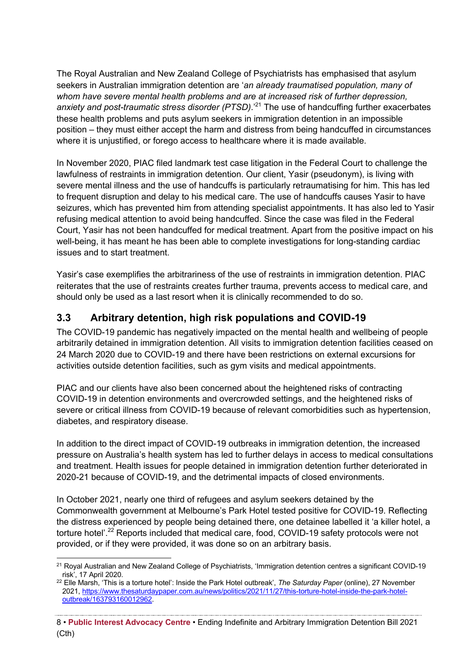The Royal Australian and New Zealand College of Psychiatrists has emphasised that asylum seekers in Australian immigration detention are '*an already traumatised population, many of whom have severe mental health problems and are at increased risk of further depression, anxiety and post-traumatic stress disorder (PTSD)*.'21 The use of handcuffing further exacerbates these health problems and puts asylum seekers in immigration detention in an impossible position – they must either accept the harm and distress from being handcuffed in circumstances where it is unjustified, or forego access to healthcare where it is made available.

In November 2020, PIAC filed landmark test case litigation in the Federal Court to challenge the lawfulness of restraints in immigration detention. Our client, Yasir (pseudonym), is living with severe mental illness and the use of handcuffs is particularly retraumatising for him. This has led to frequent disruption and delay to his medical care. The use of handcuffs causes Yasir to have seizures, which has prevented him from attending specialist appointments. It has also led to Yasir refusing medical attention to avoid being handcuffed. Since the case was filed in the Federal Court, Yasir has not been handcuffed for medical treatment. Apart from the positive impact on his well-being, it has meant he has been able to complete investigations for long-standing cardiac issues and to start treatment.

Yasir's case exemplifies the arbitrariness of the use of restraints in immigration detention. PIAC reiterates that the use of restraints creates further trauma, prevents access to medical care, and should only be used as a last resort when it is clinically recommended to do so.

### **3.3 Arbitrary detention, high risk populations and COVID-19**

The COVID-19 pandemic has negatively impacted on the mental health and wellbeing of people arbitrarily detained in immigration detention. All visits to immigration detention facilities ceased on 24 March 2020 due to COVID-19 and there have been restrictions on external excursions for activities outside detention facilities, such as gym visits and medical appointments.

PIAC and our clients have also been concerned about the heightened risks of contracting COVID-19 in detention environments and overcrowded settings, and the heightened risks of severe or critical illness from COVID-19 because of relevant comorbidities such as hypertension, diabetes, and respiratory disease.

In addition to the direct impact of COVID-19 outbreaks in immigration detention, the increased pressure on Australia's health system has led to further delays in access to medical consultations and treatment. Health issues for people detained in immigration detention further deteriorated in 2020-21 because of COVID-19, and the detrimental impacts of closed environments.

In October 2021, nearly one third of refugees and asylum seekers detained by the Commonwealth government at Melbourne's Park Hotel tested positive for COVID-19. Reflecting the distress experienced by people being detained there, one detainee labelled it 'a killer hotel, a torture hotel'.<sup>22</sup> Reports included that medical care, food, COVID-19 safety protocols were not provided, or if they were provided, it was done so on an arbitrary basis.

<sup>&</sup>lt;sup>21</sup> Royal Australian and New Zealand College of Psychiatrists, 'Immigration detention centres a significant COVID-19 risk', 17 April 2020.

<sup>22</sup> Elle Marsh, 'This is a torture hotel': Inside the Park Hotel outbreak', *The Saturday Paper* (online), 27 November 2021, https://www.thesaturdaypaper.com.au/news/politics/2021/11/27/this-torture-hotel-inside-the-park-hoteloutbreak/163793160012962.

<sup>8</sup> • **Public Interest Advocacy Centre** • Ending Indefinite and Arbitrary Immigration Detention Bill 2021 (Cth)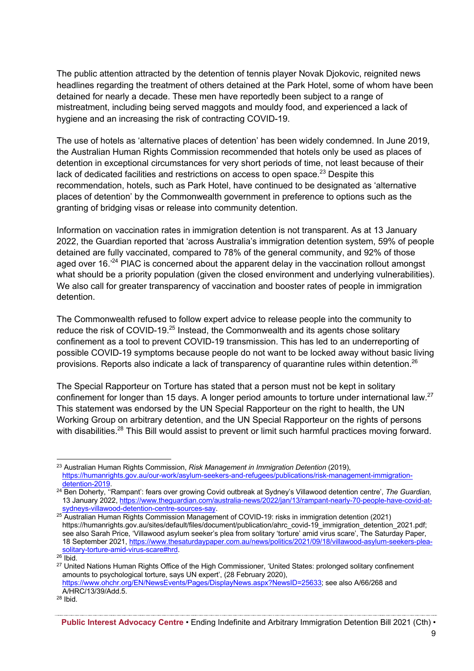The public attention attracted by the detention of tennis player Novak Djokovic, reignited news headlines regarding the treatment of others detained at the Park Hotel, some of whom have been detained for nearly a decade. These men have reportedly been subject to a range of mistreatment, including being served maggots and mouldy food, and experienced a lack of hygiene and an increasing the risk of contracting COVID-19.

The use of hotels as 'alternative places of detention' has been widely condemned. In June 2019, the Australian Human Rights Commission recommended that hotels only be used as places of detention in exceptional circumstances for very short periods of time, not least because of their lack of dedicated facilities and restrictions on access to open space. $^{23}$  Despite this recommendation, hotels, such as Park Hotel, have continued to be designated as 'alternative places of detention' by the Commonwealth government in preference to options such as the granting of bridging visas or release into community detention.

Information on vaccination rates in immigration detention is not transparent. As at 13 January 2022, the Guardian reported that 'across Australia's immigration detention system, 59% of people detained are fully vaccinated, compared to 78% of the general community, and 92% of those aged over 16.<sup>24</sup> PIAC is concerned about the apparent delay in the vaccination rollout amongst what should be a priority population (given the closed environment and underlying vulnerabilities). We also call for greater transparency of vaccination and booster rates of people in immigration detention.

The Commonwealth refused to follow expert advice to release people into the community to reduce the risk of COVID-19.<sup>25</sup> Instead, the Commonwealth and its agents chose solitary confinement as a tool to prevent COVID-19 transmission. This has led to an underreporting of possible COVID-19 symptoms because people do not want to be locked away without basic living provisions. Reports also indicate a lack of transparency of quarantine rules within detention.26

The Special Rapporteur on Torture has stated that a person must not be kept in solitary confinement for longer than 15 days. A longer period amounts to torture under international law.<sup>27</sup> This statement was endorsed by the UN Special Rapporteur on the right to health, the UN Working Group on arbitrary detention, and the UN Special Rapporteur on the rights of persons with disabilities.<sup>28</sup> This Bill would assist to prevent or limit such harmful practices moving forward.

<sup>23</sup> Australian Human Rights Commission, *Risk Management in Immigration Detention* (2019), https://humanrights.gov.au/our-work/asylum-seekers-and-refugees/publications/risk-management-immigration-

<sup>&</sup>lt;sup>24</sup> Ben Doherty, "Rampant': fears over growing Covid outbreak at Sydney's Villawood detention centre', *The Guardian,* 13 January 2022, https://www.theguardian.com/australia-news/2022/jan/13/rampant-nearly-70-people-have-covid-at-<br>sydneys-villawood-detention-centre-sources-say.

<sup>&</sup>lt;sup>25</sup> Australian Human Rights Commission Management of COVID-19: risks in immigration detention (2021) https://humanrights.gov.au/sites/default/files/document/publication/ahrc\_covid-19\_immigration\_detention\_2021.pdf; see also Sarah Price, 'Villawood asylum seeker's plea from solitary 'torture' amid virus scare', The Saturday Paper, 18 September 2021, https://www.thesaturdaypaper.com.au/news/politics/2021/09/18/villawood-asylum-seekers-pleasolitary-torture-amid-virus-scare#hrd.<br><sup>26</sup> Ibid.<br><sup>27</sup> United Nations Human Rights Office of the High Commissioner, 'United States: prolonged solitary confinement

amounts to psychological torture, says UN expert', (28 February 2020), https://www.ohchr.org/EN/NewsEvents/Pages/DisplayNews.aspx?NewsID=25633; see also A/66/268 and A/HRC/13/39/Add.5.<br><sup>28</sup> Ibid.

**Public Interest Advocacy Centre** • Ending Indefinite and Arbitrary Immigration Detention Bill 2021 (Cth) •